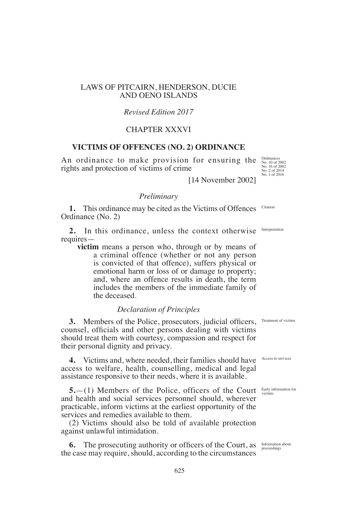# LAWS OF PITCAIRN, HENDERSON, DUCIE AND OENO ISLANDS

## *Revised Edition 2017*

# CHAPTER XXXVI

#### **VICTIMS OF OFFENCES (NO. 2) ORDINANCE**

An ordinance to make provision for ensuring the rights and protection of victims of crime

Ordinances No. 10 of 2002 No. 16 of 2002 No. 2 of 2014 No. 1 of 2016

[14 November 2002]

# *Preliminary*

**1.** This ordinance may be cited as the Victims of Offences Ordinance (No. 2) Citation

**2.** In this ordinance, unless the context otherwise requires— Interpretation

**victim** means a person who, through or by means of a criminal offence (whether or not any person is convicted of that offence), suffers physical or emotional harm or loss of or damage to property; and, where an offence results in death, the term includes the members of the immediate family of the deceased.

## *Declaration of Principles*

**3.** Members of the Police, prosecutors, judicial officers, Treatment of victims counsel, officials and other persons dealing with victims should treat them with courtesy, compassion and respect for their personal dignity and privacy.

**4.** Victims and, where needed, their families should have Access to services access to welfare, health, counselling, medical and legal assistance responsive to their needs, where it is available.

**5.** (1) Members of the Police, officers of the Court Early information for and health and social services personnel should, wherever practicable, inform victims at the earliest opportunity of the services and remedies available to them.

(2) Victims should also be told of available protection against unlawful intimidation.

**6.** The prosecuting authority or officers of the Court, as the case may require, should, according to the circumstances

victims

Information about proceedings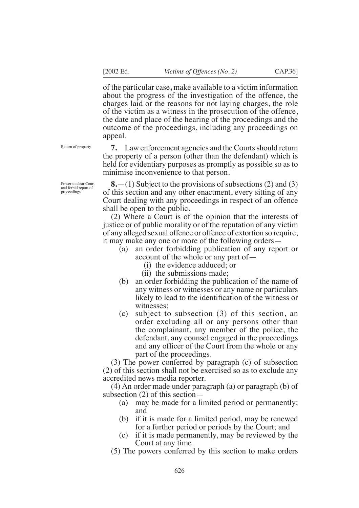of the particular case**,** make available to a victim information about the progress of the investigation of the offence, the charges laid or the reasons for not laying charges, the role of the victim as a witness in the prosecution of the offence, the date and place of the hearing of the proceedings and the outcome of the proceedings, including any proceedings on appeal.

**7.** Law enforcement agencies and the Courts should return the property of a person (other than the defendant) which is held for evidentiary purposes as promptly as possible so as to

Return of property

Power to clear Court and forbid report of proceedings

**8.**—(1) Subject to the provisions of subsections (2) and (3) of this section and any other enactment, every sitting of any Court dealing with any proceedings in respect of an offence shall be open to the public.

minimise inconvenience to that person.

(2) Where a Court is of the opinion that the interests of justice or of public morality or of the reputation of any victim of any alleged sexual offence or offence of extortion so require, it may make any one or more of the following orders—

- (a) an order forbidding publication of any report or account of the whole or any part of—
	- (i) the evidence adduced; or
	- (ii) the submissions made;
- (b) an order forbidding the publication of the name of any witness or witnesses or any name or particulars likely to lead to the identification of the witness or witnesses;
- (c) subject to subsection (3) of this section, an order excluding all or any persons other than the complainant, any member of the police, the defendant, any counsel engaged in the proceedings and any officer of the Court from the whole or any part of the proceedings.

(3) The power conferred by paragraph (c) of subsection (2) of this section shall not be exercised so as to exclude any accredited news media reporter.

(4) An order made under paragraph (a) or paragraph (b) of subsection (2) of this section—

- (a) may be made for a limited period or permanently; and
- (b) if it is made for a limited period, may be renewed for a further period or periods by the Court; and
- (c) if it is made permanently, may be reviewed by the Court at any time.
- (5) The powers conferred by this section to make orders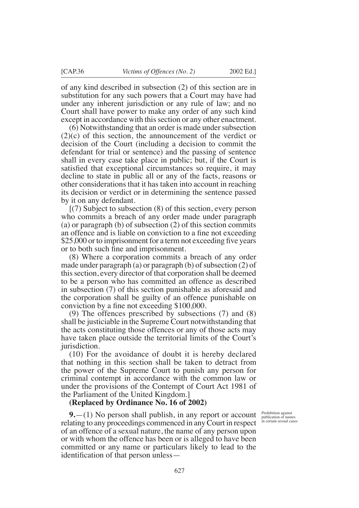of any kind described in subsection (2) of this section are in substitution for any such powers that a Court may have had under any inherent jurisdiction or any rule of law; and no Court shall have power to make any order of any such kind except in accordance with this section or any other enactment.

(6) Notwithstanding that an order is made under subsection (2)(c) of this section, the announcement of the verdict or decision of the Court (including a decision to commit the defendant for trial or sentence) and the passing of sentence shall in every case take place in public; but, if the Court is satisfied that exceptional circumstances so require, it may decline to state in public all or any of the facts, reasons or other considerations that it has taken into account in reaching its decision or verdict or in determining the sentence passed by it on any defendant.

[(7) Subject to subsection (8) of this section, every person who commits a breach of any order made under paragraph (a) or paragraph (b) of subsection (2) of this section commits an offence and is liable on conviction to a fine not exceeding  $$25,000$  or to imprisonment for a term not exceeding five years or to both such fine and imprisonment.

(8) Where a corporation commits a breach of any order made under paragraph (a) or paragraph (b) of subsection (2) of this section, every director of that corporation shall be deemed to be a person who has committed an offence as described in subsection (7) of this section punishable as aforesaid and the corporation shall be guilty of an offence punishable on conviction by a fine not exceeding  $$100,000$ .

(9) The offences prescribed by subsections (7) and (8) shall be justiciable in the Supreme Court notwithstanding that the acts constituting those offences or any of those acts may have taken place outside the territorial limits of the Court's jurisdiction.

(10) For the avoidance of doubt it is hereby declared that nothing in this section shall be taken to detract from the power of the Supreme Court to punish any person for criminal contempt in accordance with the common law or under the provisions of the Contempt of Court Act 1981 of the Parliament of the United Kingdom.]

#### **(Replaced by Ordinance No. 16 of 2002)**

**9.**—(1) No person shall publish, in any report or account relating to any proceedings commenced in any Court in respect of an offence of a sexual nature, the name of any person upon or with whom the offence has been or is alleged to have been committed or any name or particulars likely to lead to the identification of that person unless—

Prohibition against publication of names in certain sexual cases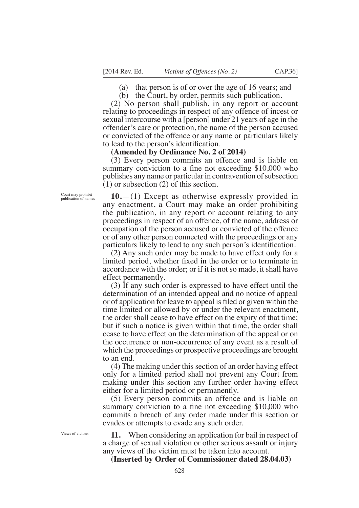(a) that person is of or over the age of 16 years; and

(b) the Court, by order, permits such publication.

(2) No person shall publish, in any report or account relating to proceedings in respect of any offence of incest or sexual intercourse with a [person] under 21 years of age in the offender's care or protection, the name of the person accused or convicted of the offence or any name or particulars likely to lead to the person's identification.

### **(Amended by Ordinance No. 2 of 2014)**

(3) Every person commits an offence and is liable on summary conviction to a fine not exceeding  $$10,000$  who publishes any name or particular in contravention of subsection (1) or subsection (2) of this section.

**10.**—(1) Except as otherwise expressly provided in any enactment, a Court may make an order prohibiting the publication, in any report or account relating to any proceedings in respect of an offence, of the name, address or occupation of the person accused or convicted of the offence or of any other person connected with the proceedings or any particulars likely to lead to any such person's identification.

(2) Any such order may be made to have effect only for a limited period, whether fixed in the order or to terminate in accordance with the order; or if it is not so made, it shall have effect permanently.

(3) If any such order is expressed to have effect until the determination of an intended appeal and no notice of appeal or of application for leave to appeal is filed or given within the time limited or allowed by or under the relevant enactment, the order shall cease to have effect on the expiry of that time; but if such a notice is given within that time, the order shall cease to have effect on the determination of the appeal or on the occurrence or non-occurrence of any event as a result of which the proceedings or prospective proceedings are brought to an end.

(4) The making under this section of an order having effect only for a limited period shall not prevent any Court from making under this section any further order having effect either for a limited period or permanently.

(5) Every person commits an offence and is liable on summary conviction to a fine not exceeding  $$10,000$  who commits a breach of any order made under this section or evades or attempts to evade any such order.

Views of vicitms

Court may prohibit publication of names

> **11.** When considering an application for bail in respect of a charge of sexual violation or other serious assault or injury any views of the victim must be taken into account.

**(Inserted by Order of Commissioner dated 28.04.03)**